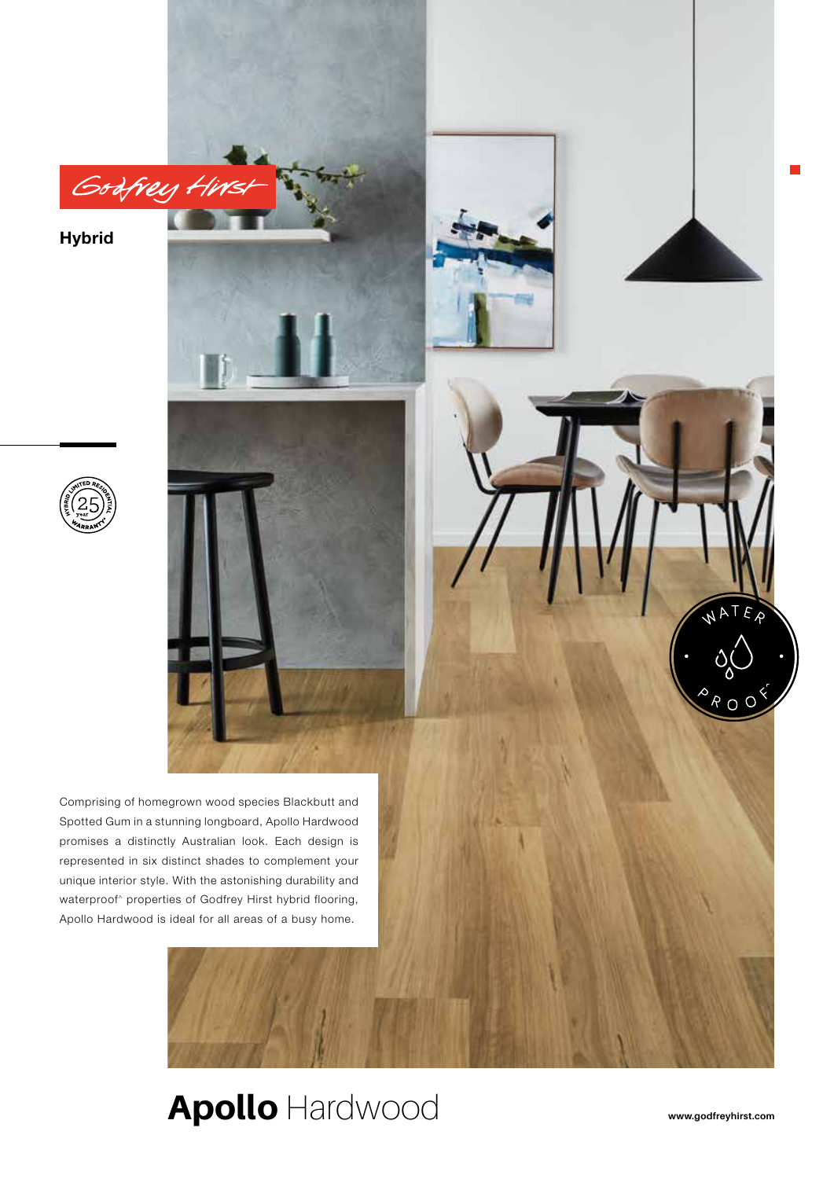**Hybrid**





## Apollo Hardwood